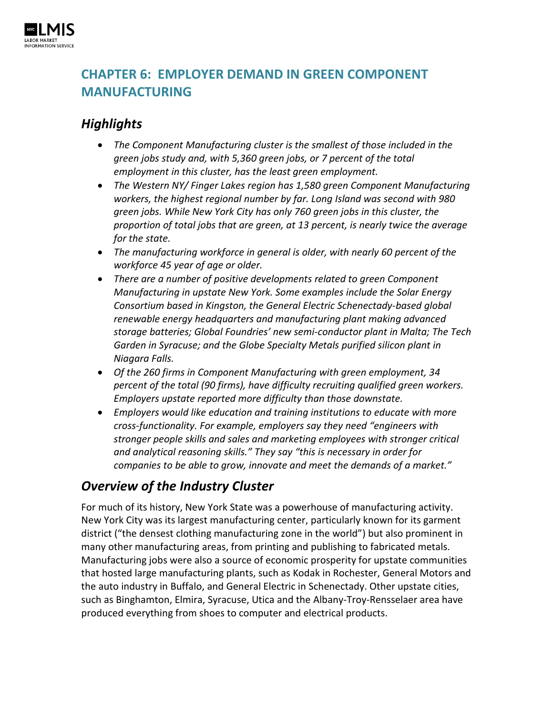

# **CHAPTER 6: EMPLOYER DEMAND IN GREEN COMPONENT MANUFACTURING**

## *Highlights*

- *The Component Manufacturing cluster is the smallest of those included in the green jobs study and, with 5,360 green jobs, or 7 percent of the total employment in this cluster, has the least green employment.*
- *The Western NY/ Finger Lakes region has 1,580 green Component Manufacturing workers, the highest regional number by far. Long Island was second with 980 green jobs. While New York City has only 760 green jobs in this cluster, the proportion of total jobs that are green, at 13 percent, is nearly twice the average for the state.*
- *The manufacturing workforce in general is older, with nearly 60 percent of the workforce 45 year of age or older.*
- *There are a number of positive developments related to green Component Manufacturing in upstate New York. Some examples include the Solar Energy Consortium based in Kingston, the General Electric Schenectady-based global renewable energy headquarters and manufacturing plant making advanced storage batteries; Global Foundries' new semi-conductor plant in Malta; The Tech Garden in Syracuse; and the Globe Specialty Metals purified silicon plant in Niagara Falls.*
- *Of the 260 firms in Component Manufacturing with green employment, 34 percent of the total (90 firms), have difficulty recruiting qualified green workers. Employers upstate reported more difficulty than those downstate.*
- *Employers would like education and training institutions to educate with more cross-functionality. For example, employers say they need "engineers with stronger people skills and sales and marketing employees with stronger critical and analytical reasoning skills." They say "this is necessary in order for companies to be able to grow, innovate and meet the demands of a market."*

# *Overview of the Industry Cluster*

For much of its history, New York State was a powerhouse of manufacturing activity. New York City was its largest manufacturing center, particularly known for its garment district ("the densest clothing manufacturing zone in the world") but also prominent in many other manufacturing areas, from printing and publishing to fabricated metals. Manufacturing jobs were also a source of economic prosperity for upstate communities that hosted large manufacturing plants, such as Kodak in Rochester, General Motors and the auto industry in Buffalo, and General Electric in Schenectady. Other upstate cities, such as Binghamton, Elmira, Syracuse, Utica and the Albany-Troy-Rensselaer area have produced everything from shoes to computer and electrical products.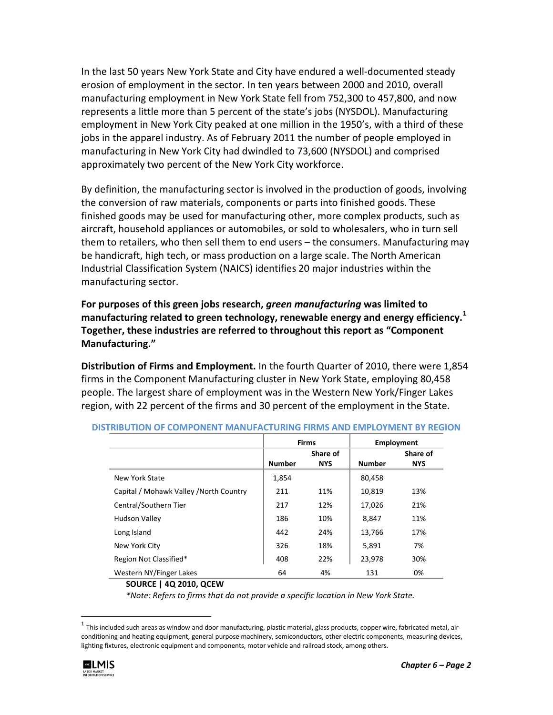In the last 50 years New York State and City have endured a well-documented steady erosion of employment in the sector. In ten years between 2000 and 2010, overall manufacturing employment in New York State fell from 752,300 to 457,800, and now represents a little more than 5 percent of the state's jobs (NYSDOL). Manufacturing employment in New York City peaked at one million in the 1950's, with a third of these jobs in the apparel industry. As of February 2011 the number of people employed in manufacturing in New York City had dwindled to 73,600 (NYSDOL) and comprised approximately two percent of the New York City workforce.

By definition, the manufacturing sector is involved in the production of goods, involving the conversion of raw materials, components or parts into finished goods. These finished goods may be used for manufacturing other, more complex products, such as [aircraft,](http://en.wikipedia.org/wiki/Aircraft) [household appliances](http://en.wikipedia.org/wiki/Major_appliance) o[r automobiles,](http://en.wikipedia.org/wiki/Automobile) or sold to [wholesalers,](http://en.wikipedia.org/wiki/Wholesale) who in turn sell them t[o retailers,](http://en.wikipedia.org/wiki/Retailer) who then sell them to end users – the [consumers.](http://en.wikipedia.org/wiki/Consumers) Manufacturing may be handicraft, high tech, or mass production on a large scale. The North American Industrial Classification System (NAICS) identifies 20 major industries within the manufacturing sector.

**For purposes of this green jobs research,** *green manufacturing* **was limited to manufacturing related to green technology, renewable energy and energy efficiency. [1](#page-1-0) Together, these industries are referred to throughout this report as "Component Manufacturing."**

**Distribution of Firms and Employment.** In the fourth Quarter of 2010, there were 1,854 firms in the Component Manufacturing cluster in New York State, employing 80,458 people. The largest share of employment was in the Western New York/Finger Lakes region, with 22 percent of the firms and 30 percent of the employment in the State.

|                                         |               | <b>Firms</b>           |               | Employment             |  |
|-----------------------------------------|---------------|------------------------|---------------|------------------------|--|
|                                         | <b>Number</b> | Share of<br><b>NYS</b> | <b>Number</b> | Share of<br><b>NYS</b> |  |
| New York State                          | 1,854         |                        | 80,458        |                        |  |
| Capital / Mohawk Valley / North Country | 211           | 11%                    | 10,819        | 13%                    |  |
| Central/Southern Tier                   | 217           | 12%                    | 17,026        | 21%                    |  |
| <b>Hudson Valley</b>                    | 186           | 10%                    | 8,847         | 11%                    |  |
| Long Island                             | 442           | 24%                    | 13,766        | 17%                    |  |
| New York City                           | 326           | 18%                    | 5,891         | 7%                     |  |
| Region Not Classified*                  | 408           | 22%                    | 23,978        | 30%                    |  |
| Western NY/Finger Lakes                 | 64            | 4%                     | 131           | 0%                     |  |

#### **DISTRIBUTION OF COMPONENT MANUFACTURING FIRMS AND EMPLOYMENT BY REGION**

#### **SOURCE | 4Q 2010, QCEW**

*\*Note: Refers to firms that do not provide a specific location in New York State.*

<span id="page-1-0"></span> $1$  This included such areas as window and door manufacturing, plastic material, glass products, copper wire, fabricated metal, air conditioning and heating equipment, general purpose machinery, semiconductors, other electric components, measuring devices, lighting fixtures, electronic equipment and components, motor vehicle and railroad stock, among others.

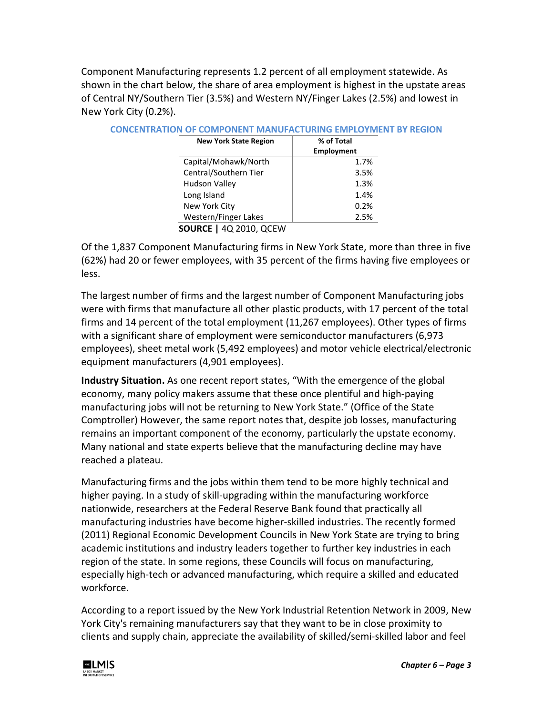Component Manufacturing represents 1.2 percent of all employment statewide. As shown in the chart below, the share of area employment is highest in the upstate areas of Central NY/Southern Tier (3.5%) and Western NY/Finger Lakes (2.5%) and lowest in New York City (0.2%).

| <b>New York State Region</b> | % of Total |
|------------------------------|------------|
|                              | Employment |
| Capital/Mohawk/North         | 1.7%       |
| Central/Southern Tier        | 3.5%       |
| <b>Hudson Valley</b>         | 1.3%       |
| Long Island                  | 1.4%       |
| New York City                | 0.2%       |
| Western/Finger Lakes         | 2.5%       |

#### **CONCENTRATION OF COMPONENT MANUFACTURING EMPLOYMENT BY REGION**

**SOURCE |** 4Q 2010, QCEW

Of the 1,837 Component Manufacturing firms in New York State, more than three in five (62%) had 20 or fewer employees, with 35 percent of the firms having five employees or less.

The largest number of firms and the largest number of Component Manufacturing jobs were with firms that manufacture all other plastic products, with 17 percent of the total firms and 14 percent of the total employment (11,267 employees). Other types of firms with a significant share of employment were semiconductor manufacturers (6,973 employees), sheet metal work (5,492 employees) and motor vehicle electrical/electronic equipment manufacturers (4,901 employees).

**Industry Situation.** As one recent report states, "With the emergence of the global economy, many policy makers assume that these once plentiful and high-paying manufacturing jobs will not be returning to New York State." (Office of the State Comptroller) However, the same report notes that, despite job losses, manufacturing remains an important component of the economy, particularly the upstate economy. Many national and state experts believe that the manufacturing decline may have reached a plateau.

Manufacturing firms and the jobs within them tend to be more highly technical and higher paying. In a study of skill-upgrading within the manufacturing workforce nationwide, researchers at the Federal Reserve Bank found that practically all manufacturing industries have become higher-skilled industries. The recently formed (2011) Regional Economic Development Councils in New York State are trying to bring academic institutions and industry leaders together to further key industries in each region of the state. In some regions, these Councils will focus on manufacturing, especially high-tech or advanced manufacturing, which require a skilled and educated workforce.

According to a report issued by the New York Industrial Retention Network in 2009, New York City's remaining manufacturers say that they want to be in close proximity to clients and supply chain, appreciate the availability of skilled/semi-skilled labor and feel

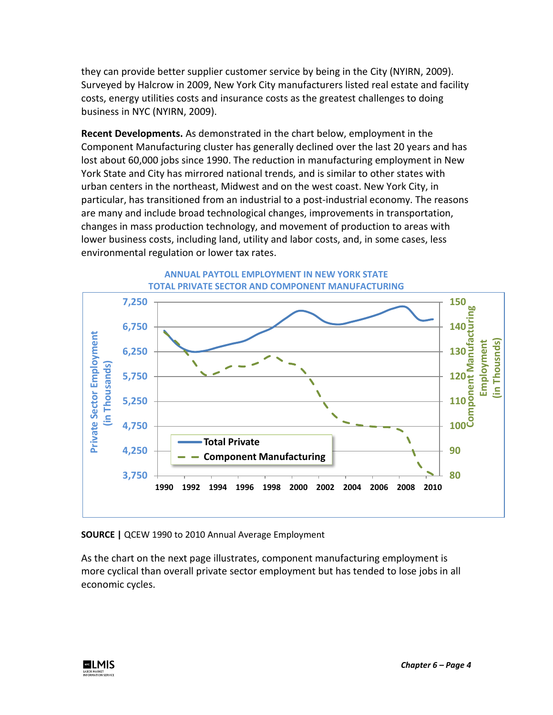they can provide better supplier customer service by being in the City (NYIRN, 2009). Surveyed by Halcrow in 2009, New York City manufacturers listed real estate and facility costs, energy utilities costs and insurance costs as the greatest challenges to doing business in NYC (NYIRN, 2009).

**Recent Developments.** As demonstrated in the chart below, employment in the Component Manufacturing cluster has generally declined over the last 20 years and has lost about 60,000 jobs since 1990. The reduction in manufacturing employment in New York State and City has mirrored national trends, and is similar to other states with urban centers in the northeast, Midwest and on the west coast. New York City, in particular, has transitioned from an industrial to a post-industrial economy. The reasons are many and include broad technological changes, improvements in transportation, changes in mass production technology, and movement of production to areas with lower business costs, including land, utility and labor costs, and, in some cases, less environmental regulation or lower tax rates.



**ANNUAL PAYTOLL EMPLOYMENT IN NEW YORK STATE**

**SOURCE |** QCEW 1990 to 2010 Annual Average Employment

As the chart on the next page illustrates, component manufacturing employment is more cyclical than overall private sector employment but has tended to lose jobs in all economic cycles.

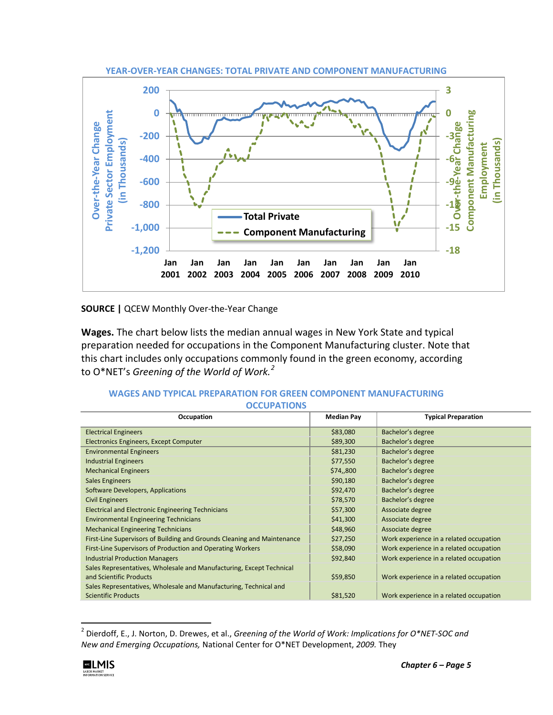

**SOURCE |** QCEW Monthly Over-the-Year Change

**Wages.** The chart below lists the median annual wages in New York State and typical preparation needed for occupations in the Component Manufacturing cluster. Note that this chart includes only occupations commonly found in the green economy, according to O\*NET's *Greening of the World of Work.[2](#page-4-0)*

| <b>OCCUPATIONS</b>                                                                              |                   |                                         |
|-------------------------------------------------------------------------------------------------|-------------------|-----------------------------------------|
| Occupation                                                                                      | <b>Median Pay</b> | <b>Typical Preparation</b>              |
| <b>Electrical Engineers</b>                                                                     | \$83,080          | Bachelor's degree                       |
| <b>Electronics Engineers, Except Computer</b>                                                   | \$89,300          | Bachelor's degree                       |
| <b>Environmental Engineers</b>                                                                  | \$81,230          | Bachelor's degree                       |
| <b>Industrial Engineers</b>                                                                     | \$77,550          | Bachelor's degree                       |
| <b>Mechanical Engineers</b>                                                                     | \$74,,800         | Bachelor's degree                       |
| <b>Sales Engineers</b>                                                                          | \$90,180          | Bachelor's degree                       |
| Software Developers, Applications                                                               | \$92,470          | Bachelor's degree                       |
| <b>Civil Engineers</b>                                                                          | \$78,570          | Bachelor's degree                       |
| <b>Electrical and Electronic Engineering Technicians</b>                                        | \$57,300          | Associate degree                        |
| <b>Environmental Engineering Technicians</b>                                                    | \$41,300          | Associate degree                        |
| <b>Mechanical Engineering Technicians</b>                                                       | \$48,960          | Associate degree                        |
| First-Line Supervisors of Building and Grounds Cleaning and Maintenance                         | \$27,250          | Work experience in a related occupation |
| First-Line Supervisors of Production and Operating Workers                                      | \$58,090          | Work experience in a related occupation |
| <b>Industrial Production Managers</b>                                                           | \$92,840          | Work experience in a related occupation |
| Sales Representatives, Wholesale and Manufacturing, Except Technical<br>and Scientific Products | \$59,850          | Work experience in a related occupation |
| Sales Representatives, Wholesale and Manufacturing, Technical and<br><b>Scientific Products</b> | \$81,520          | Work experience in a related occupation |

### **WAGES AND TYPICAL PREPARATION FOR GREEN COMPONENT MANUFACTURING OCCUPATIONS**

<span id="page-4-0"></span> <sup>2</sup> Dierdoff, E., J. Norton, D. Drewes, et al., *Greening of the World of Work: Implications for O\*NET-SOC and New and Emerging Occupations,* National Center for O\*NET Development, *2009.* They

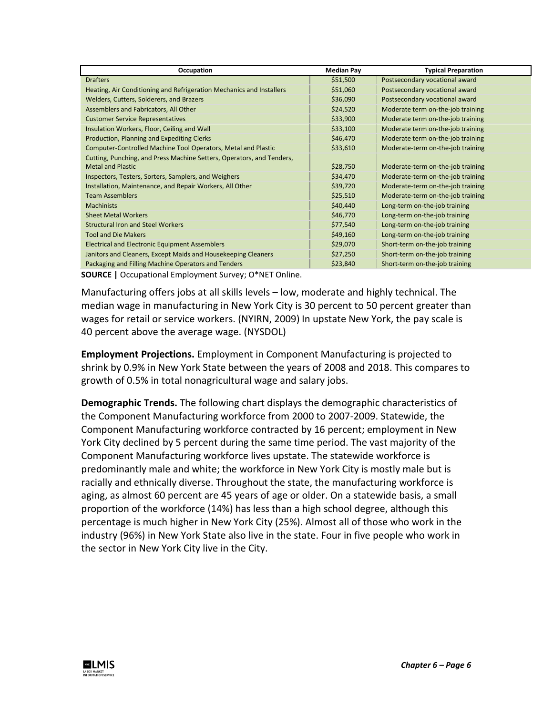| Occupation                                                            | <b>Median Pay</b> | <b>Typical Preparation</b>        |
|-----------------------------------------------------------------------|-------------------|-----------------------------------|
| <b>Drafters</b>                                                       | \$51,500          | Postsecondary vocational award    |
| Heating, Air Conditioning and Refrigeration Mechanics and Installers  | \$51,060          | Postsecondary vocational award    |
| Welders, Cutters, Solderers, and Brazers                              | \$36,090          | Postsecondary vocational award    |
| Assemblers and Fabricators, All Other                                 | \$24,520          | Moderate term on-the-job training |
| <b>Customer Service Representatives</b>                               | \$33,900          | Moderate term on-the-job training |
| Insulation Workers, Floor, Ceiling and Wall                           | \$33,100          | Moderate term on-the-job training |
| Production, Planning and Expediting Clerks                            | \$46,470          | Moderate term on-the-job training |
| Computer-Controlled Machine Tool Operators, Metal and Plastic         | \$33,610          | Moderate-term on-the-job training |
| Cutting, Punching, and Press Machine Setters, Operators, and Tenders, |                   |                                   |
| <b>Metal and Plastic</b>                                              | \$28,750          | Moderate-term on-the-job training |
| Inspectors, Testers, Sorters, Samplers, and Weighers                  | \$34,470          | Moderate-term on-the-job training |
| Installation, Maintenance, and Repair Workers, All Other              | \$39,720          | Moderate-term on-the-job training |
| <b>Team Assemblers</b>                                                | \$25,510          | Moderate-term on-the-job training |
| <b>Machinists</b>                                                     | \$40,440          | Long-term on-the-job training     |
| <b>Sheet Metal Workers</b>                                            | \$46,770          | Long-term on-the-job training     |
| <b>Structural Iron and Steel Workers</b>                              | \$77,540          | Long-term on-the-job training     |
| <b>Tool and Die Makers</b>                                            | \$49,160          | Long-term on-the-job training     |
| <b>Electrical and Electronic Equipment Assemblers</b>                 | \$29,070          | Short-term on-the-job training    |
| Janitors and Cleaners, Except Maids and Housekeeping Cleaners         | \$27,250          | Short-term on-the-job training    |
| Packaging and Filling Machine Operators and Tenders                   | \$23,840          | Short-term on-the-job training    |

**SOURCE |** Occupational Employment Survey; O\*NET Online.

Manufacturing offers jobs at all skills levels – low, moderate and highly technical. The median wage in manufacturing in New York City is 30 percent to 50 percent greater than wages for retail or service workers. (NYIRN, 2009) In upstate New York, the pay scale is 40 percent above the average wage. (NYSDOL)

**Employment Projections.** Employment in Component Manufacturing is projected to shrink by 0.9% in New York State between the years of 2008 and 2018. This compares to growth of 0.5% in total nonagricultural wage and salary jobs.

**Demographic Trends.** The following chart displays the demographic characteristics of the Component Manufacturing workforce from 2000 to 2007-2009. Statewide, the Component Manufacturing workforce contracted by 16 percent; employment in New York City declined by 5 percent during the same time period. The vast majority of the Component Manufacturing workforce lives upstate. The statewide workforce is predominantly male and white; the workforce in New York City is mostly male but is racially and ethnically diverse. Throughout the state, the manufacturing workforce is aging, as almost 60 percent are 45 years of age or older. On a statewide basis, a small proportion of the workforce (14%) has less than a high school degree, although this percentage is much higher in New York City (25%). Almost all of those who work in the industry (96%) in New York State also live in the state. Four in five people who work in the sector in New York City live in the City.

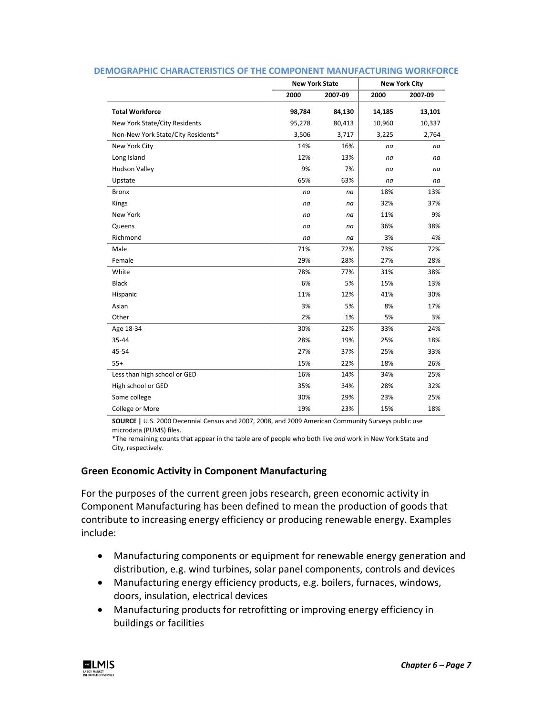|                                    | <b>New York State</b> |        | <b>New York City</b> |         |  |
|------------------------------------|-----------------------|--------|----------------------|---------|--|
|                                    | 2000<br>2007-09       |        | 2000                 | 2007-09 |  |
| <b>Total Workforce</b>             | 98,784                | 84,130 | 14,185               | 13,101  |  |
| New York State/City Residents      | 95,278                | 80,413 | 10,960               | 10,337  |  |
| Non-New York State/City Residents* | 3,506                 | 3,717  | 3,225                | 2,764   |  |
| New York City                      | 14%                   | 16%    | na                   | na      |  |
| Long Island                        | 12%                   | 13%    | na                   | na      |  |
| <b>Hudson Valley</b>               | 9%                    | 7%     | na                   | na      |  |
| Upstate                            | 65%                   | 63%    | na                   | na      |  |
| <b>Bronx</b>                       | na                    | na     | 18%                  | 13%     |  |
| Kings                              | na                    | na     | 32%                  | 37%     |  |
| New York                           | na                    | na     | 11%                  | 9%      |  |
| Queens                             | na                    | na     | 36%                  | 38%     |  |
| Richmond                           | na                    | na     | 3%                   | 4%      |  |
| Male                               | 71%                   | 72%    | 73%                  | 72%     |  |
| Female                             | 29%                   | 28%    | 27%                  | 28%     |  |
| White                              | 78%                   | 77%    | 31%                  | 38%     |  |
| <b>Black</b>                       | 6%                    | 5%     | 15%                  | 13%     |  |
| Hispanic                           | 11%                   | 12%    | 41%                  | 30%     |  |
| Asian                              | 3%                    | 5%     | 8%                   | 17%     |  |
| Other                              | 2%                    | 1%     | 5%                   | 3%      |  |
| Age 18-34                          | 30%                   | 22%    | 33%                  | 24%     |  |
| 35-44                              | 28%                   | 19%    | 25%                  | 18%     |  |
| 45-54                              | 27%                   | 37%    | 25%                  | 33%     |  |
| $55+$                              | 15%                   | 22%    | 18%                  | 26%     |  |
| Less than high school or GED       | 16%                   | 14%    | 34%                  | 25%     |  |
| High school or GED                 | 35%                   | 34%    | 28%                  | 32%     |  |
| Some college                       | 30%                   | 29%    | 23%                  | 25%     |  |
| College or More                    | 19%                   | 23%    | 15%                  | 18%     |  |

#### **DEMOGRAPHIC CHARACTERISTICS OF THE COMPONENT MANUFACTURING WORKFORCE**

**SOURCE |** U.S. 2000 Decennial Census and 2007, 2008, and 2009 American Community Surveys public use microdata (PUMS) files.

\*The remaining counts that appear in the table are of people who both live *and* work in New York State and City, respectively.

## **Green Economic Activity in Component Manufacturing**

For the purposes of the current green jobs research, green economic activity in Component Manufacturing has been defined to mean the production of goods that contribute to increasing energy efficiency or producing renewable energy. Examples include:

- Manufacturing components or equipment for renewable energy generation and distribution, e.g. wind turbines, solar panel components, controls and devices
- Manufacturing energy efficiency products, e.g. boilers, furnaces, windows, doors, insulation, electrical devices
- Manufacturing products for retrofitting or improving energy efficiency in buildings or facilities

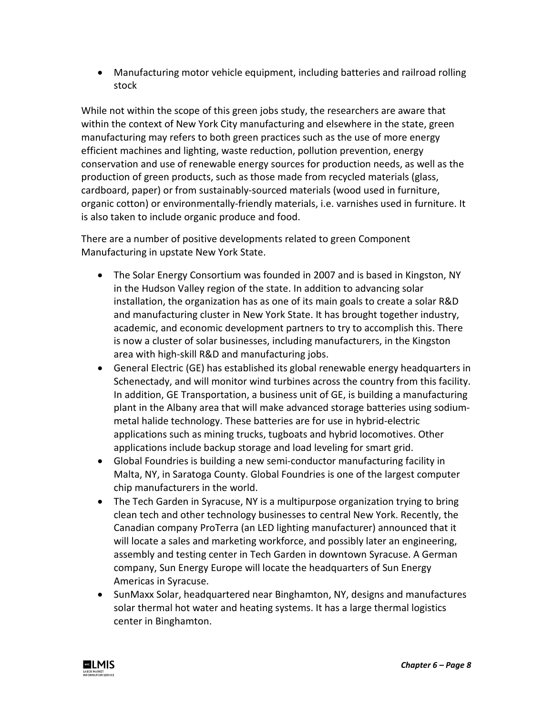• Manufacturing motor vehicle equipment, including batteries and railroad rolling stock

While not within the scope of this green jobs study, the researchers are aware that within the context of New York City manufacturing and elsewhere in the state, green manufacturing may refers to both green practices such as the use of more energy efficient machines and lighting, waste reduction, pollution prevention, energy conservation and use of renewable energy sources for production needs, as well as the production of green products, such as those made from recycled materials (glass, cardboard, paper) or from sustainably-sourced materials (wood used in furniture, organic cotton) or environmentally-friendly materials, i.e. varnishes used in furniture. It is also taken to include organic produce and food.

There are a number of positive developments related to green Component Manufacturing in upstate New York State.

- The Solar Energy Consortium was founded in 2007 and is based in Kingston, NY in the Hudson Valley region of the state. In addition to advancing solar installation, the organization has as one of its main goals to create a solar R&D and manufacturing cluster in New York State. It has brought together industry, academic, and economic development partners to try to accomplish this. There is now a cluster of solar businesses, including manufacturers, in the Kingston area with high-skill R&D and manufacturing jobs.
- General Electric (GE) has established its global renewable energy headquarters in Schenectady, and will monitor wind turbines across the country from this facility. In addition, GE Transportation, a business unit of GE, is building a manufacturing plant in the Albany area that will make advanced storage batteries using sodiummetal halide technology. These batteries are for use in hybrid-electric applications such as mining trucks, tugboats and hybrid locomotives. Other applications include backup storage and load leveling for smart grid.
- Global Foundries is building a new semi-conductor manufacturing facility in Malta, NY, in Saratoga County. Global Foundries is one of the largest computer chip manufacturers in the world.
- The Tech Garden in Syracuse, NY is a multipurpose organization trying to bring clean tech and other technology businesses to central New York. Recently, the Canadian company ProTerra (an LED lighting manufacturer) announced that it will locate a sales and marketing workforce, and possibly later an engineering, assembly and testing center in Tech Garden in downtown Syracuse. A German company, Sun Energy Europe will locate the headquarters of Sun Energy Americas in Syracuse.
- SunMaxx Solar, headquartered near Binghamton, NY, designs and manufactures solar thermal hot water and heating systems. It has a large thermal logistics center in Binghamton.

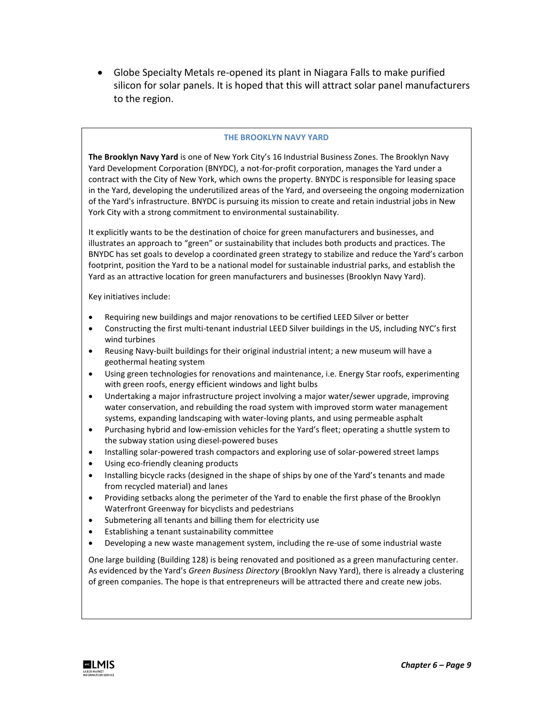• Globe Specialty Metals re-opened its plant in Niagara Falls to make purified silicon for solar panels. It is hoped that this will attract solar panel manufacturers to the region.

#### **THE BROOKLYN NAVY YARD**

**The Brooklyn Navy Yard** is one of New York City's 16 Industrial Business Zones. The Brooklyn Navy Yard Development Corporation (BNYDC), a not-for-profit corporation, manages the Yard under a contract with the City of New York, which owns the property. BNYDC is responsible for leasing space in the Yard, developing the underutilized areas of the Yard, and overseeing the ongoing modernization of the Yard's infrastructure. BNYDC is pursuing its mission to create and retain industrial jobs in New York City with a strong commitment to environmental sustainability.

It explicitly wants to be the destination of choice for green manufacturers and businesses, and illustrates an approach to "green" or sustainability that includes both products and practices. The BNYDC has set goals to develop a coordinated green strategy to stabilize and reduce the Yard's carbon footprint, position the Yard to be a national model for sustainable industrial parks, and establish the Yard as an attractive location for green manufacturers and businesses (Brooklyn Navy Yard).

Key initiatives include:

- Requiring new buildings and major renovations to be certified LEED Silver or better
- Constructing the first multi-tenant industrial LEED Silver buildings in the US, including NYC's first wind turbines
- Reusing Navy-built buildings for their original industrial intent; a new museum will have a geothermal heating system
- Using green technologies for renovations and maintenance, i.e. Energy Star roofs, experimenting with green roofs, energy efficient windows and light bulbs
- Undertaking a major infrastructure project involving a major water/sewer upgrade, improving water conservation, and rebuilding the road system with improved storm water management systems, expanding landscaping with water-loving plants, and using permeable asphalt
- Purchasing hybrid and low-emission vehicles for the Yard's fleet; operating a shuttle system to the subway station using diesel-powered buses
- Installing solar-powered trash compactors and exploring use of solar-powered street lamps
- Using eco-friendly cleaning products
- Installing bicycle racks (designed in the shape of ships by one of the Yard's tenants and made from recycled material) and lanes
- Providing setbacks along the perimeter of the Yard to enable the first phase of the Brooklyn Waterfront Greenway for bicyclists and pedestrians
- Submetering all tenants and billing them for electricity use
- Establishing a tenant sustainability committee
- Developing a new waste management system, including the re-use of some industrial waste

One large building (Building 128) is being renovated and positioned as a green manufacturing center. As evidenced by the Yard's *Green Business Directory* (Brooklyn Navy Yard), there is already a clustering of green companies. The hope is that entrepreneurs will be attracted there and create new jobs.

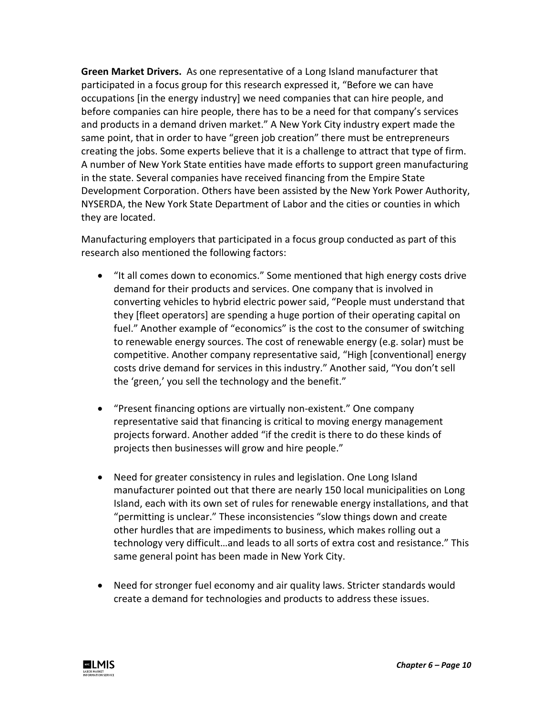**Green Market Drivers.** As one representative of a Long Island manufacturer that participated in a focus group for this research expressed it, "Before we can have occupations [in the energy industry] we need companies that can hire people, and before companies can hire people, there has to be a need for that company's services and products in a demand driven market." A New York City industry expert made the same point, that in order to have "green job creation" there must be entrepreneurs creating the jobs. Some experts believe that it is a challenge to attract that type of firm. A number of New York State entities have made efforts to support green manufacturing in the state. Several companies have received financing from the Empire State Development Corporation. Others have been assisted by the New York Power Authority, NYSERDA, the New York State Department of Labor and the cities or counties in which they are located.

Manufacturing employers that participated in a focus group conducted as part of this research also mentioned the following factors:

- "It all comes down to economics." Some mentioned that high energy costs drive demand for their products and services. One company that is involved in converting vehicles to hybrid electric power said, "People must understand that they [fleet operators] are spending a huge portion of their operating capital on fuel." Another example of "economics" is the cost to the consumer of switching to renewable energy sources. The cost of renewable energy (e.g. solar) must be competitive. Another company representative said, "High [conventional] energy costs drive demand for services in this industry." Another said, "You don't sell the 'green,' you sell the technology and the benefit."
- "Present financing options are virtually non-existent." One company representative said that financing is critical to moving energy management projects forward. Another added "if the credit is there to do these kinds of projects then businesses will grow and hire people."
- Need for greater consistency in rules and legislation. One Long Island manufacturer pointed out that there are nearly 150 local municipalities on Long Island, each with its own set of rules for renewable energy installations, and that "permitting is unclear." These inconsistencies "slow things down and create other hurdles that are impediments to business, which makes rolling out a technology very difficult…and leads to all sorts of extra cost and resistance." This same general point has been made in New York City.
- Need for stronger fuel economy and air quality laws. Stricter standards would create a demand for technologies and products to address these issues.

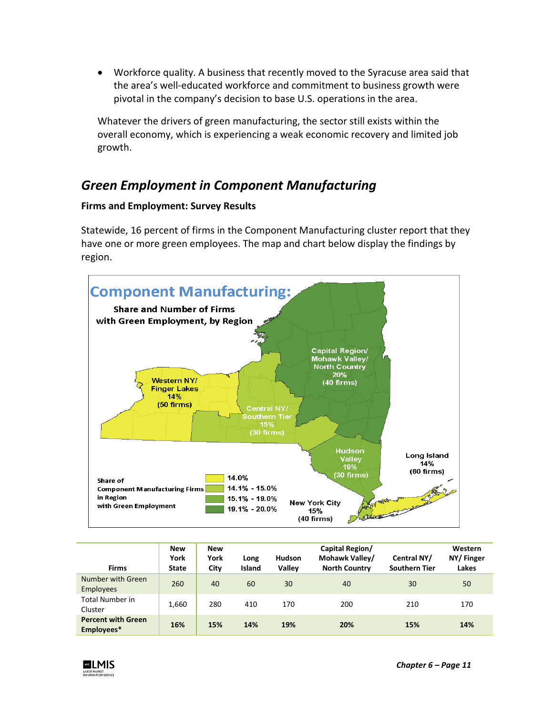• Workforce quality. A business that recently moved to the Syracuse area said that the area's well-educated workforce and commitment to business growth were pivotal in the company's decision to base U.S. operations in the area.

Whatever the drivers of green manufacturing, the sector still exists within the overall economy, which is experiencing a weak economic recovery and limited job growth.

## *Green Employment in Component Manufacturing*

## **Firms and Employment: Survey Results**

Statewide, 16 percent of firms in the Component Manufacturing cluster report that they have one or more green employees. The map and chart below display the findings by region.



| <b>Firms</b>                            | <b>New</b><br>York<br><b>State</b> | <b>New</b><br>York<br>City | Long<br><b>Island</b> | <b>Hudson</b><br>Valley | Capital Region/<br>Mohawk Valley/<br><b>North Country</b> | Central NY/<br><b>Southern Tier</b> | Western<br>NY/Finger<br>Lakes |
|-----------------------------------------|------------------------------------|----------------------------|-----------------------|-------------------------|-----------------------------------------------------------|-------------------------------------|-------------------------------|
| Number with Green<br><b>Employees</b>   | 260                                | 40                         | 60                    | 30                      | 40                                                        | 30                                  | 50                            |
| <b>Total Number in</b><br>Cluster       | 1,660                              | 280                        | 410                   | 170                     | 200                                                       | 210                                 | 170                           |
| <b>Percent with Green</b><br>Employees* | 16%                                | 15%                        | 14%                   | 19%                     | 20%                                                       | 15%                                 | 14%                           |

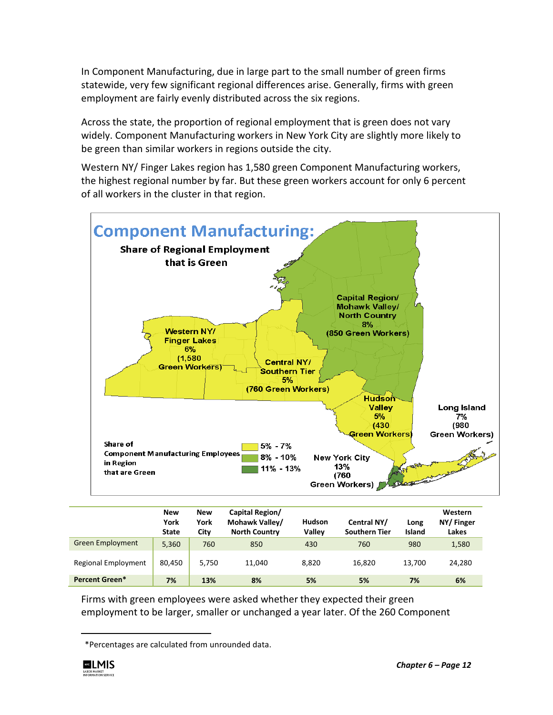In Component Manufacturing, due in large part to the small number of green firms statewide, very few significant regional differences arise. Generally, firms with green employment are fairly evenly distributed across the six regions.

Across the state, the proportion of regional employment that is green does not vary widely. Component Manufacturing workers in New York City are slightly more likely to be green than similar workers in regions outside the city.

Western NY/ Finger Lakes region has 1,580 green Component Manufacturing workers, the highest regional number by far. But these green workers account for only 6 percent of all workers in the cluster in that region.



|                         | <b>New</b><br>York<br><b>State</b> | New<br>York<br>City | Capital Region/<br>Mohawk Valley/<br><b>North Country</b> | <b>Hudson</b><br>Valley | Central NY/<br><b>Southern Tier</b> | Long<br>Island | Western<br>NY/Finger<br>Lakes |
|-------------------------|------------------------------------|---------------------|-----------------------------------------------------------|-------------------------|-------------------------------------|----------------|-------------------------------|
| <b>Green Employment</b> | 5,360                              | 760                 | 850                                                       | 430                     | 760                                 | 980            | 1,580                         |
| Regional Employment     | 80.450                             | 5.750               | 11,040                                                    | 8,820                   | 16,820                              | 13,700         | 24,280                        |
| Percent Green*          | 7%                                 | 13%                 | 8%                                                        | 5%                      | 5%                                  | 7%             | 6%                            |

Firms with green employees were asked whether they expected their green employment to be larger, smaller or unchanged a year later. Of the 260 Component

<span id="page-11-0"></span><sup>\*</sup>Percentages are calculated from unrounded data.



 $\overline{\phantom{0}}$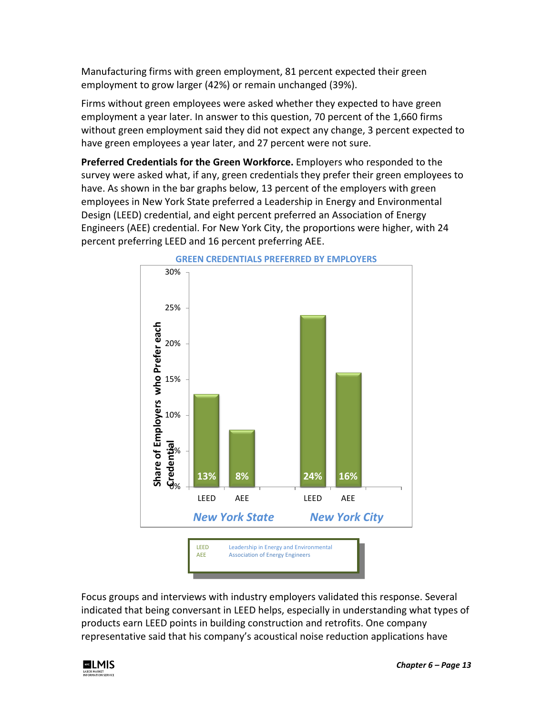Manufacturing firms with green employment, 81 percent expected their green employment to grow larger (42%) or remain unchanged (39%).

Firms without green employees were asked whether they expected to have green employment a year later. In answer to this question, 70 percent of the 1,660 firms without green employment said they did not expect any change, 3 percent expected to have green employees a year later, and 27 percent were not sure.

**Preferred Credentials for the Green Workforce.** Employers who responded to the survey were asked what, if any, green credentials they prefer their green employees to have. As shown in the bar graphs below, 13 percent of the employers with green employees in New York State preferred a Leadership in Energy and Environmental Design (LEED) credential, and eight percent preferred an Association of Energy Engineers (AEE) credential. For New York City, the proportions were higher, with 24 percent preferring LEED and 16 percent preferring AEE.



Focus groups and interviews with industry employers validated this response. Several indicated that being conversant in LEED helps, especially in understanding what types of products earn LEED points in building construction and retrofits. One company representative said that his company's acoustical noise reduction applications have

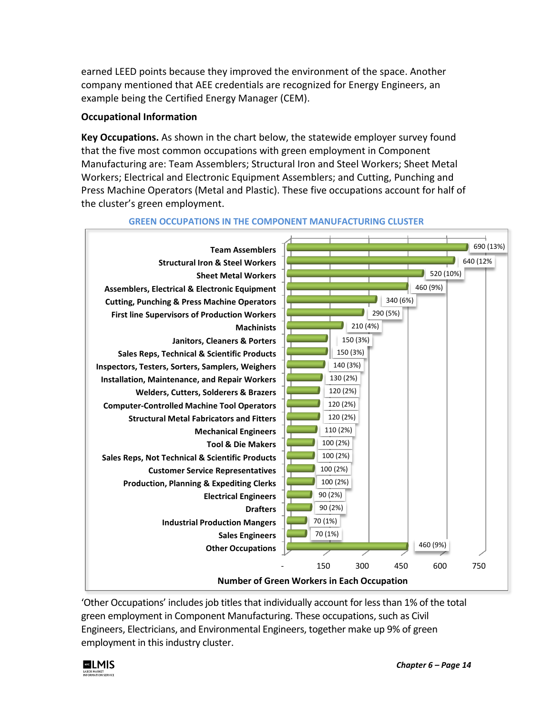earned LEED points because they improved the environment of the space. Another company mentioned that AEE credentials are recognized for Energy Engineers, an example being the Certified Energy Manager (CEM).

## **Occupational Information**

**Key Occupations.** As shown in the chart below, the statewide employer survey found that the five most common occupations with green employment in Component Manufacturing are: Team Assemblers; Structural Iron and Steel Workers; Sheet Metal Workers; Electrical and Electronic Equipment Assemblers; and Cutting, Punching and Press Machine Operators (Metal and Plastic). These five occupations account for half of the cluster's green employment.



### **GREEN OCCUPATIONS IN THE COMPONENT MANUFACTURING CLUSTER**

'Other Occupations' includes job titles that individually account for less than 1% of the total green employment in Component Manufacturing. These occupations, such as Civil Engineers, Electricians, and Environmental Engineers, together make up 9% of green employment in this industry cluster.

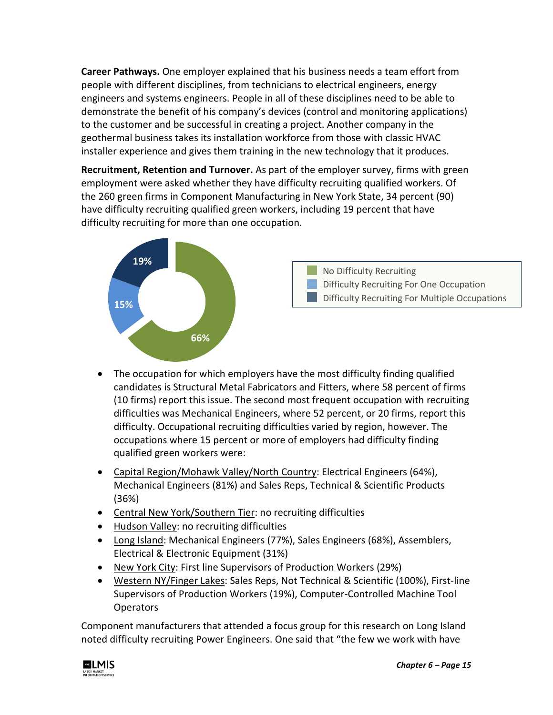**Career Pathways.** One employer explained that his business needs a team effort from people with different disciplines, from technicians to electrical engineers, energy engineers and systems engineers. People in all of these disciplines need to be able to demonstrate the benefit of his company's devices (control and monitoring applications) to the customer and be successful in creating a project. Another company in the geothermal business takes its installation workforce from those with classic HVAC installer experience and gives them training in the new technology that it produces.

**Recruitment, Retention and Turnover.** As part of the employer survey, firms with green employment were asked whether they have difficulty recruiting qualified workers. Of the 260 green firms in Component Manufacturing in New York State, 34 percent (90) have difficulty recruiting qualified green workers, including 19 percent that have difficulty recruiting for more than one occupation.



- The occupation for which employers have the most difficulty finding qualified candidates is Structural Metal Fabricators and Fitters, where 58 percent of firms (10 firms) report this issue. The second most frequent occupation with recruiting difficulties was Mechanical Engineers, where 52 percent, or 20 firms, report this difficulty. Occupational recruiting difficulties varied by region, however. The occupations where 15 percent or more of employers had difficulty finding qualified green workers were:
- Capital Region/Mohawk Valley/North Country: Electrical Engineers (64%), Mechanical Engineers (81%) and Sales Reps, Technical & Scientific Products (36%)
- Central New York/Southern Tier: no recruiting difficulties
- Hudson Valley: no recruiting difficulties
- Long Island: Mechanical Engineers (77%), Sales Engineers (68%), Assemblers, Electrical & Electronic Equipment (31%)
- New York City: First line Supervisors of Production Workers (29%)
- Western NY/Finger Lakes: Sales Reps, Not Technical & Scientific (100%), First-line Supervisors of Production Workers (19%), Computer-Controlled Machine Tool **Operators**

Component manufacturers that attended a focus group for this research on Long Island noted difficulty recruiting Power Engineers. One said that "the few we work with have

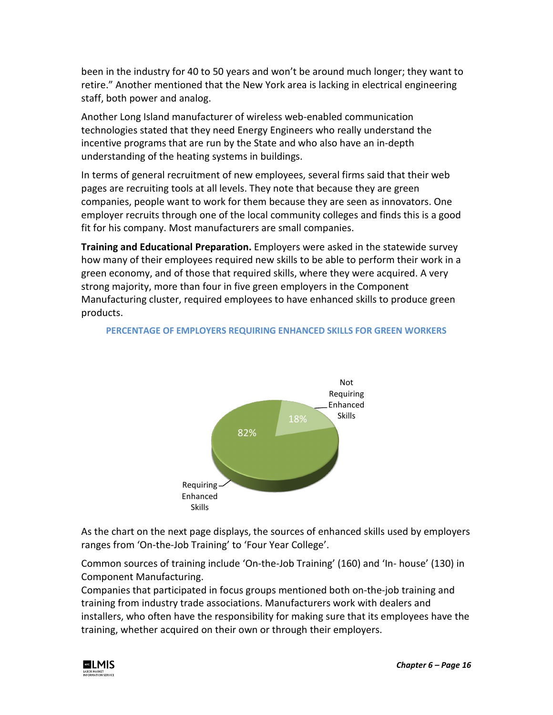been in the industry for 40 to 50 years and won't be around much longer; they want to retire." Another mentioned that the New York area is lacking in electrical engineering staff, both power and analog.

Another Long Island manufacturer of wireless web-enabled communication technologies stated that they need Energy Engineers who really understand the incentive programs that are run by the State and who also have an in-depth understanding of the heating systems in buildings.

In terms of general recruitment of new employees, several firms said that their web pages are recruiting tools at all levels. They note that because they are green companies, people want to work for them because they are seen as innovators. One employer recruits through one of the local community colleges and finds this is a good fit for his company. Most manufacturers are small companies.

**Training and Educational Preparation.** Employers were asked in the statewide survey how many of their employees required new skills to be able to perform their work in a green economy, and of those that required skills, where they were acquired. A very strong majority, more than four in five green employers in the Component Manufacturing cluster, required employees to have enhanced skills to produce green products.



## **PERCENTAGE OF EMPLOYERS REQUIRING ENHANCED SKILLS FOR GREEN WORKERS**

As the chart on the next page displays, the sources of enhanced skills used by employers ranges from 'On-the-Job Training' to 'Four Year College'.

Common sources of training include 'On-the-Job Training' (160) and 'In- house' (130) in Component Manufacturing.

Companies that participated in focus groups mentioned both on-the-job training and training from industry trade associations. Manufacturers work with dealers and installers, who often have the responsibility for making sure that its employees have the training, whether acquired on their own or through their employers.